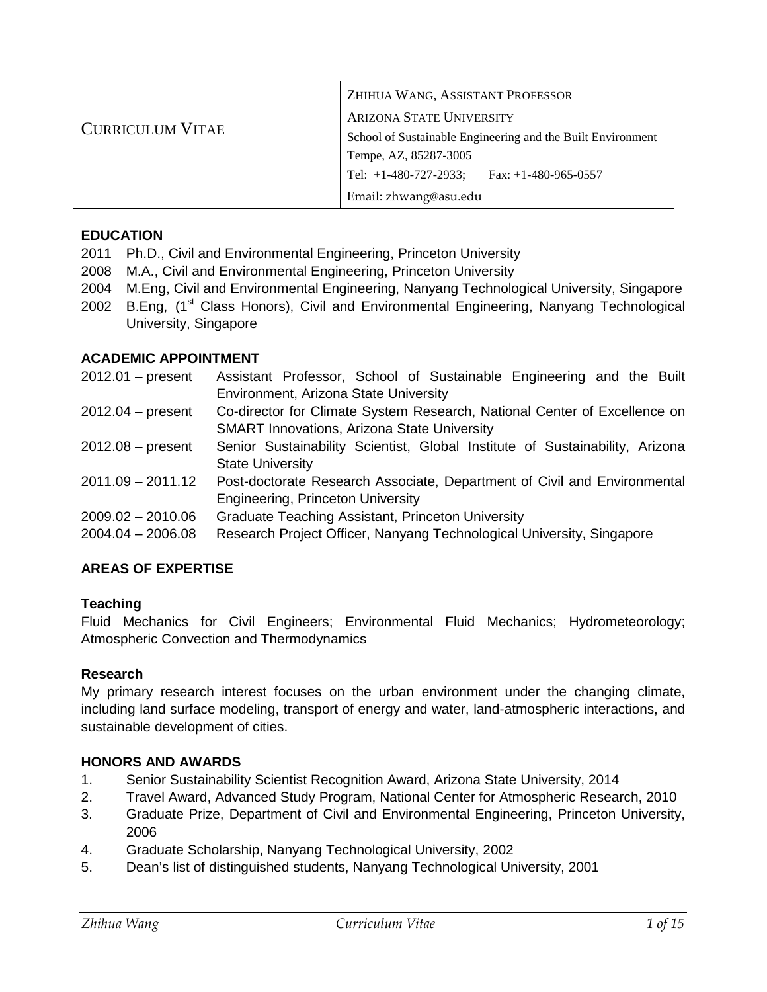|                         | ZHIHUA WANG, ASSISTANT PROFESSOR                            |  |  |
|-------------------------|-------------------------------------------------------------|--|--|
|                         | <b>ARIZONA STATE UNIVERSITY</b>                             |  |  |
| <b>CURRICULUM VITAE</b> | School of Sustainable Engineering and the Built Environment |  |  |
|                         | Tempe, AZ, 85287-3005                                       |  |  |
|                         | Tel: $+1-480-727-2933$ ; Fax: $+1-480-965-0557$             |  |  |
|                         | Email: zhwang@asu.edu                                       |  |  |

 $\mathbf{I}$ 

# **EDUCATION**

- 2011 Ph.D., Civil and Environmental Engineering, Princeton University
- 2008 M.A., Civil and Environmental Engineering, Princeton University
- 2004 M.Eng, Civil and Environmental Engineering, Nanyang Technological University, Singapore
- 2002 B.Eng, (1<sup>st</sup> Class Honors), Civil and Environmental Engineering, Nanyang Technological University, Singapore

# **ACADEMIC APPOINTMENT**

| $2012.01$ – present | Assistant Professor, School of Sustainable Engineering and the Built         |
|---------------------|------------------------------------------------------------------------------|
|                     | Environment, Arizona State University                                        |
| $2012.04 - present$ | Co-director for Climate System Research, National Center of Excellence on    |
|                     | <b>SMART Innovations, Arizona State University</b>                           |
| $2012.08 - present$ | Senior Sustainability Scientist, Global Institute of Sustainability, Arizona |
|                     | <b>State University</b>                                                      |
| $2011.09 - 2011.12$ | Post-doctorate Research Associate, Department of Civil and Environmental     |
|                     | Engineering, Princeton University                                            |
| $2009.02 - 2010.06$ | <b>Graduate Teaching Assistant, Princeton University</b>                     |
| $2004.04 - 2006.08$ | Research Project Officer, Nanyang Technological University, Singapore        |

# **AREAS OF EXPERTISE**

# **Teaching**

Fluid Mechanics for Civil Engineers; Environmental Fluid Mechanics; Hydrometeorology; Atmospheric Convection and Thermodynamics

# **Research**

My primary research interest focuses on the urban environment under the changing climate, including land surface modeling, transport of energy and water, land-atmospheric interactions, and sustainable development of cities.

# **HONORS AND AWARDS**

- 1. Senior Sustainability Scientist Recognition Award, Arizona State University, 2014
- 2. Travel Award, Advanced Study Program, National Center for Atmospheric Research, 2010
- 3. Graduate Prize, Department of Civil and Environmental Engineering, Princeton University, 2006
- 4. Graduate Scholarship, Nanyang Technological University, 2002
- 5. Dean's list of distinguished students, Nanyang Technological University, 2001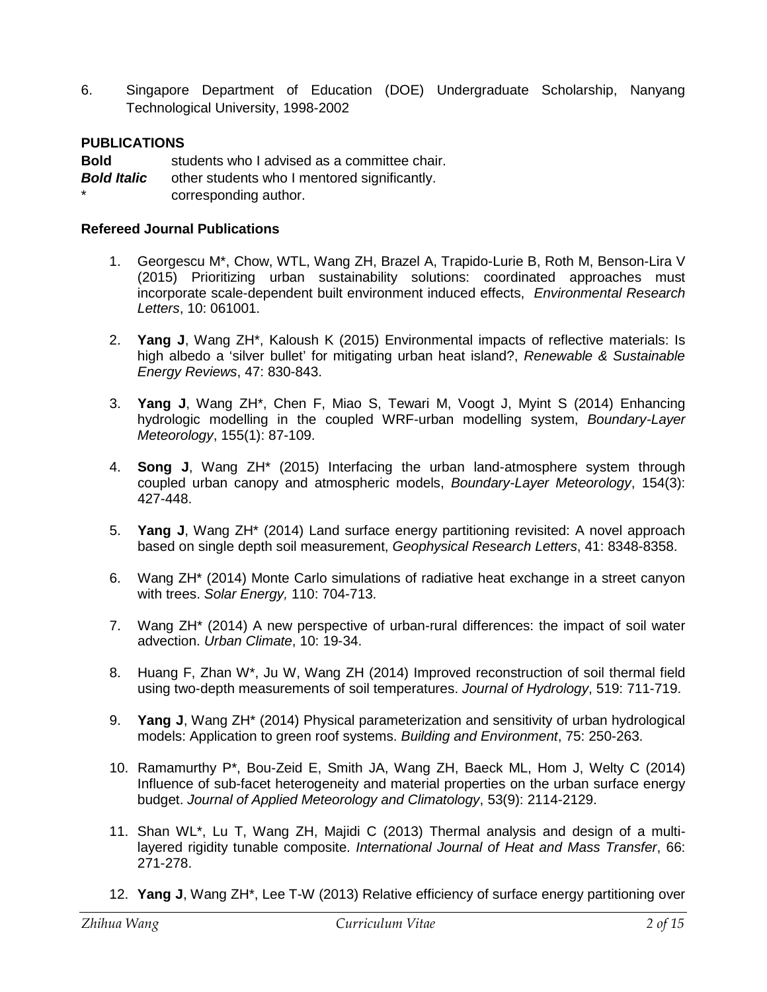6. Singapore Department of Education (DOE) Undergraduate Scholarship, Nanyang Technological University, 1998-2002

# **PUBLICATIONS**

**Bold** students who I advised as a committee chair. **Bold Italic** other students who I mentored significantly. corresponding author.

# **Refereed Journal Publications**

- 1. Georgescu M\*, Chow, WTL, Wang ZH, Brazel A, Trapido-Lurie B, Roth M, Benson-Lira V (2015) Prioritizing urban sustainability solutions: coordinated approaches must incorporate scale-dependent built environment induced effects, *Environmental Research Letters*, 10: 061001.
- 2. **Yang J**, Wang ZH\*, Kaloush K (2015) Environmental impacts of reflective materials: Is high albedo a 'silver bullet' for mitigating urban heat island?, *Renewable & Sustainable Energy Reviews*, 47: 830-843.
- 3. **Yang J**, Wang ZH\*, Chen F, Miao S, Tewari M, Voogt J, Myint S (2014) Enhancing hydrologic modelling in the coupled WRF-urban modelling system, *Boundary-Layer Meteorology*, 155(1): 87-109.
- 4. **Song J**, Wang ZH\* (2015) Interfacing the urban land-atmosphere system through coupled urban canopy and atmospheric models, *Boundary-Layer Meteorology*, 154(3): 427-448.
- 5. **Yang J**, Wang ZH\* (2014) Land surface energy partitioning revisited: A novel approach based on single depth soil measurement, *Geophysical Research Letters*, 41: 8348-8358.
- 6. Wang ZH\* (2014) Monte Carlo simulations of radiative heat exchange in a street canyon with trees. *Solar Energy,* 110: 704-713.
- 7. Wang ZH\* (2014) A new perspective of urban-rural differences: the impact of soil water advection. *Urban Climate*, 10: 19-34.
- 8. Huang F, Zhan W\*, Ju W, Wang ZH (2014) Improved reconstruction of soil thermal field using two-depth measurements of soil temperatures. *Journal of Hydrology*, 519: 711-719.
- 9. **Yang J**, Wang ZH\* (2014) Physical parameterization and sensitivity of urban hydrological models: Application to green roof systems. *Building and Environment*, 75: 250-263.
- 10. Ramamurthy P\*, Bou-Zeid E, Smith JA, Wang ZH, Baeck ML, Hom J, Welty C (2014) Influence of sub-facet heterogeneity and material properties on the urban surface energy budget. *Journal of Applied Meteorology and Climatology*, 53(9): 2114-2129.
- 11. Shan WL\*, Lu T, Wang ZH, Majidi C (2013) Thermal analysis and design of a multilayered rigidity tunable composite. *International Journal of Heat and Mass Transfer*, 66: 271-278.
- 12. **Yang J**, Wang ZH\*, Lee T-W (2013) Relative efficiency of surface energy partitioning over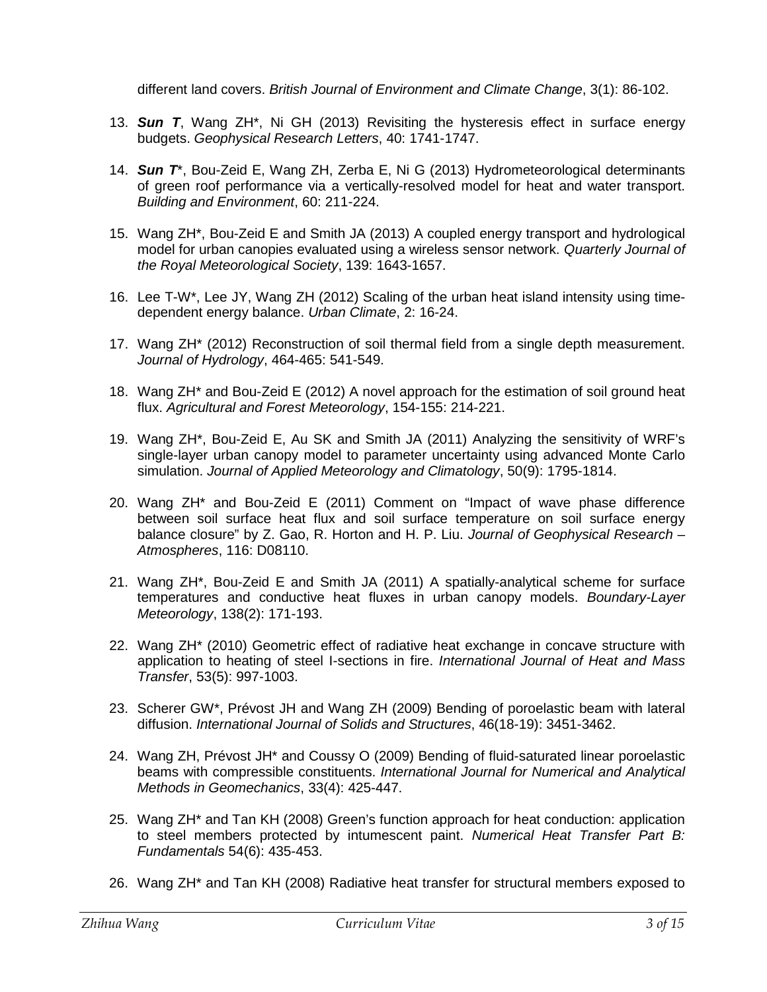different land covers. *British Journal of Environment and Climate Change*, 3(1): 86-102.

- 13. *Sun T*, Wang ZH\*, Ni GH (2013) Revisiting the hysteresis effect in surface energy budgets. *Geophysical Research Letters*, 40: 1741-1747.
- 14. *Sun T*\*, Bou-Zeid E, Wang ZH, Zerba E, Ni G (2013) Hydrometeorological determinants of green roof performance via a vertically-resolved model for heat and water transport. *Building and Environment*, 60: 211-224.
- 15. Wang ZH\*, Bou-Zeid E and Smith JA (2013) A coupled energy transport and hydrological model for urban canopies evaluated using a wireless sensor network. *Quarterly Journal of the Royal Meteorological Society*, 139: 1643-1657.
- 16. Lee T-W\*, Lee JY, Wang ZH (2012) Scaling of the urban heat island intensity using timedependent energy balance. *Urban Climate*, 2: 16-24.
- 17. Wang ZH\* (2012) Reconstruction of soil thermal field from a single depth measurement. *Journal of Hydrology*, 464-465: 541-549.
- 18. Wang ZH\* and Bou-Zeid E (2012) A novel approach for the estimation of soil ground heat flux. *Agricultural and Forest Meteorology*, 154-155: 214-221.
- 19. Wang ZH\*, Bou-Zeid E, Au SK and Smith JA (2011) Analyzing the sensitivity of WRF's single-layer urban canopy model to parameter uncertainty using advanced Monte Carlo simulation. *Journal of Applied Meteorology and Climatology*, 50(9): 1795-1814.
- 20. Wang ZH\* and Bou-Zeid E (2011) Comment on "Impact of wave phase difference between soil surface heat flux and soil surface temperature on soil surface energy balance closure" by Z. Gao, R. Horton and H. P. Liu. *Journal of Geophysical Research – Atmospheres*, 116: D08110.
- 21. Wang ZH\*, Bou-Zeid E and Smith JA (2011) A spatially-analytical scheme for surface temperatures and conductive heat fluxes in urban canopy models. *Boundary-Layer Meteorology*, 138(2): 171-193.
- 22. Wang ZH\* (2010) Geometric effect of radiative heat exchange in concave structure with application to heating of steel I-sections in fire. *International Journal of Heat and Mass Transfer*, 53(5): 997-1003.
- 23. Scherer GW\*, Prévost JH and Wang ZH (2009) Bending of poroelastic beam with lateral diffusion. *International Journal of Solids and Structures*, 46(18-19): 3451-3462.
- 24. Wang ZH, Prévost JH\* and Coussy O (2009) Bending of fluid-saturated linear poroelastic beams with compressible constituents. *International Journal for Numerical and Analytical Methods in Geomechanics*, 33(4): 425-447.
- 25. Wang ZH\* and Tan KH (2008) Green's function approach for heat conduction: application to steel members protected by intumescent paint. *Numerical Heat Transfer Part B: Fundamentals* 54(6): 435-453.
- 26. Wang ZH\* and Tan KH (2008) Radiative heat transfer for structural members exposed to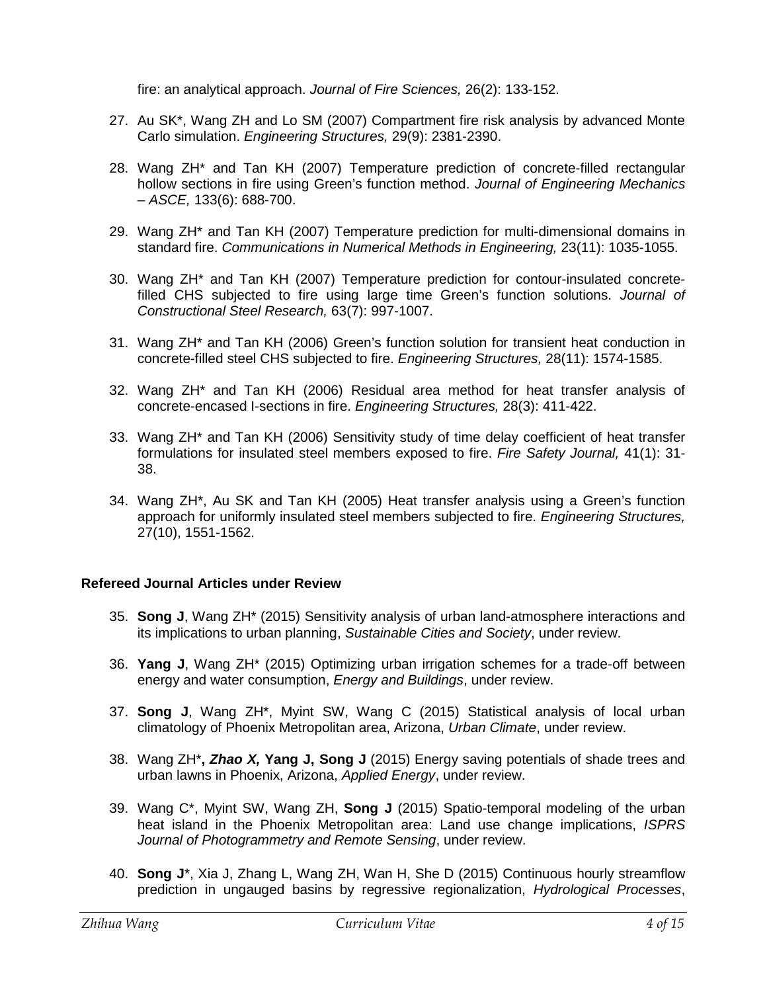fire: an analytical approach. *Journal of Fire Sciences,* 26(2): 133-152.

- 27. Au SK\*, Wang ZH and Lo SM (2007) Compartment fire risk analysis by advanced Monte Carlo simulation. *Engineering Structures,* 29(9): 2381-2390.
- 28. Wang ZH\* and Tan KH (2007) Temperature prediction of concrete-filled rectangular hollow sections in fire using Green's function method. *Journal of Engineering Mechanics – ASCE,* 133(6): 688-700.
- 29. Wang ZH\* and Tan KH (2007) Temperature prediction for multi-dimensional domains in standard fire. *Communications in Numerical Methods in Engineering,* 23(11): 1035-1055.
- 30. Wang ZH\* and Tan KH (2007) Temperature prediction for contour-insulated concretefilled CHS subjected to fire using large time Green's function solutions. *Journal of Constructional Steel Research,* 63(7): 997-1007.
- 31. Wang ZH\* and Tan KH (2006) Green's function solution for transient heat conduction in concrete-filled steel CHS subjected to fire. *Engineering Structures,* 28(11): 1574-1585.
- 32. Wang ZH\* and Tan KH (2006) Residual area method for heat transfer analysis of concrete-encased I-sections in fire. *Engineering Structures,* 28(3): 411-422.
- 33. Wang ZH\* and Tan KH (2006) Sensitivity study of time delay coefficient of heat transfer formulations for insulated steel members exposed to fire. *Fire Safety Journal,* 41(1): 31- 38.
- 34. Wang ZH\*, Au SK and Tan KH (2005) Heat transfer analysis using a Green's function approach for uniformly insulated steel members subjected to fire. *Engineering Structures,* 27(10), 1551-1562.

# **Refereed Journal Articles under Review**

- 35. **Song J**, Wang ZH\* (2015) Sensitivity analysis of urban land-atmosphere interactions and its implications to urban planning, *Sustainable Cities and Society*, under review.
- 36. **Yang J**, Wang ZH\* (2015) Optimizing urban irrigation schemes for a trade-off between energy and water consumption, *Energy and Buildings*, under review.
- 37. **Song J**, Wang ZH\*, Myint SW, Wang C (2015) Statistical analysis of local urban climatology of Phoenix Metropolitan area, Arizona, *Urban Climate*, under review.
- 38. Wang ZH\***,** *Zhao X,* **Yang J, Song J** (2015) Energy saving potentials of shade trees and urban lawns in Phoenix, Arizona, *Applied Energy*, under review.
- 39. Wang C\*, Myint SW, Wang ZH, **Song J** (2015) Spatio-temporal modeling of the urban heat island in the Phoenix Metropolitan area: Land use change implications, *ISPRS Journal of Photogrammetry and Remote Sensing*, under review.
- 40. **Song J**\*, Xia J, Zhang L, Wang ZH, Wan H, She D (2015) Continuous hourly streamflow prediction in ungauged basins by regressive regionalization, *Hydrological Processes*,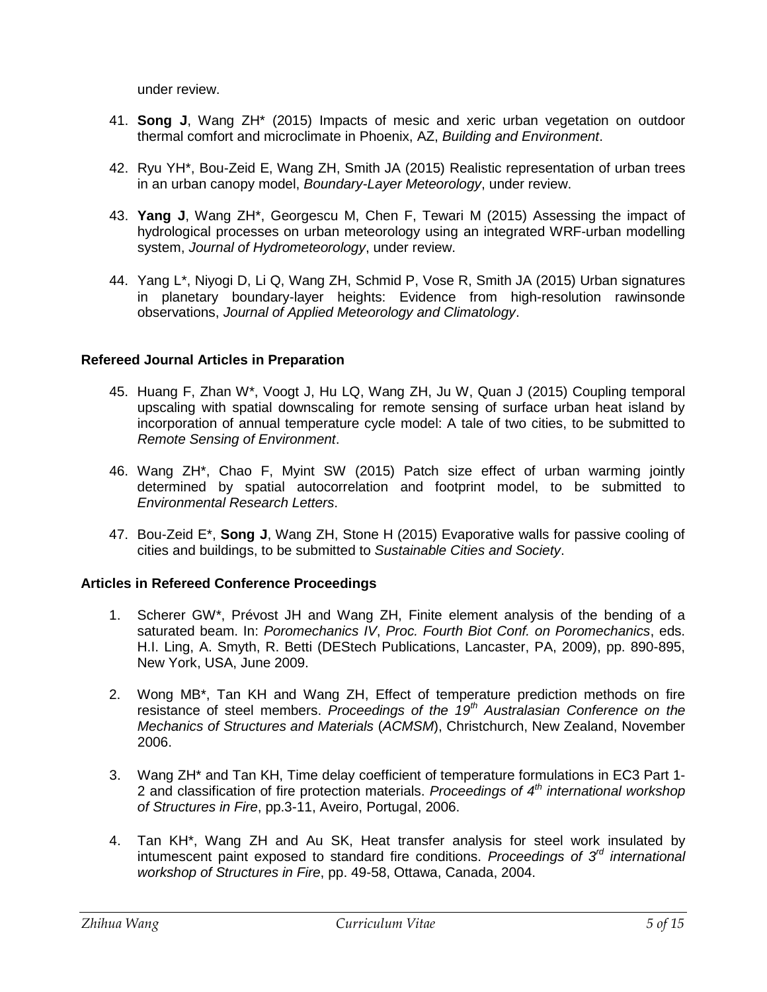under review.

- 41. **Song J**, Wang ZH\* (2015) Impacts of mesic and xeric urban vegetation on outdoor thermal comfort and microclimate in Phoenix, AZ, *Building and Environment*.
- 42. Ryu YH\*, Bou-Zeid E, Wang ZH, Smith JA (2015) Realistic representation of urban trees in an urban canopy model, *Boundary-Layer Meteorology*, under review.
- 43. **Yang J**, Wang ZH\*, Georgescu M, Chen F, Tewari M (2015) Assessing the impact of hydrological processes on urban meteorology using an integrated WRF-urban modelling system, *Journal of Hydrometeorology*, under review.
- 44. Yang L\*, Niyogi D, Li Q, Wang ZH, Schmid P, Vose R, Smith JA (2015) Urban signatures in planetary boundary-layer heights: Evidence from high-resolution rawinsonde observations, *Journal of Applied Meteorology and Climatology*.

# **Refereed Journal Articles in Preparation**

- 45. Huang F, Zhan W\*, Voogt J, Hu LQ, Wang ZH, Ju W, Quan J (2015) Coupling temporal upscaling with spatial downscaling for remote sensing of surface urban heat island by incorporation of annual temperature cycle model: A tale of two cities, to be submitted to *Remote Sensing of Environment*.
- 46. Wang ZH\*, Chao F, Myint SW (2015) Patch size effect of urban warming jointly determined by spatial autocorrelation and footprint model, to be submitted to *Environmental Research Letters*.
- 47. Bou-Zeid E\*, **Song J**, Wang ZH, Stone H (2015) Evaporative walls for passive cooling of cities and buildings, to be submitted to *Sustainable Cities and Society*.

# **Articles in Refereed Conference Proceedings**

- 1. Scherer GW\*, Prévost JH and Wang ZH, Finite element analysis of the bending of a saturated beam. In: *Poromechanics IV*, *Proc. Fourth Biot Conf. on Poromechanics*, eds. H.I. Ling, A. Smyth, R. Betti (DEStech Publications, Lancaster, PA, 2009), pp. 890-895, New York, USA, June 2009.
- 2. Wong MB\*, Tan KH and Wang ZH, Effect of temperature prediction methods on fire resistance of steel members. *Proceedings of the 19th Australasian Conference on the Mechanics of Structures and Materials* (*ACMSM*), Christchurch, New Zealand, November 2006.
- 3. Wang ZH\* and Tan KH, Time delay coefficient of temperature formulations in EC3 Part 1- 2 and classification of fire protection materials. *Proceedings of 4th international workshop of Structures in Fire*, pp.3-11, Aveiro, Portugal, 2006.
- 4. Tan KH\*, Wang ZH and Au SK, Heat transfer analysis for steel work insulated by intumescent paint exposed to standard fire conditions. *Proceedings of 3rd international workshop of Structures in Fire*, pp. 49-58, Ottawa, Canada, 2004.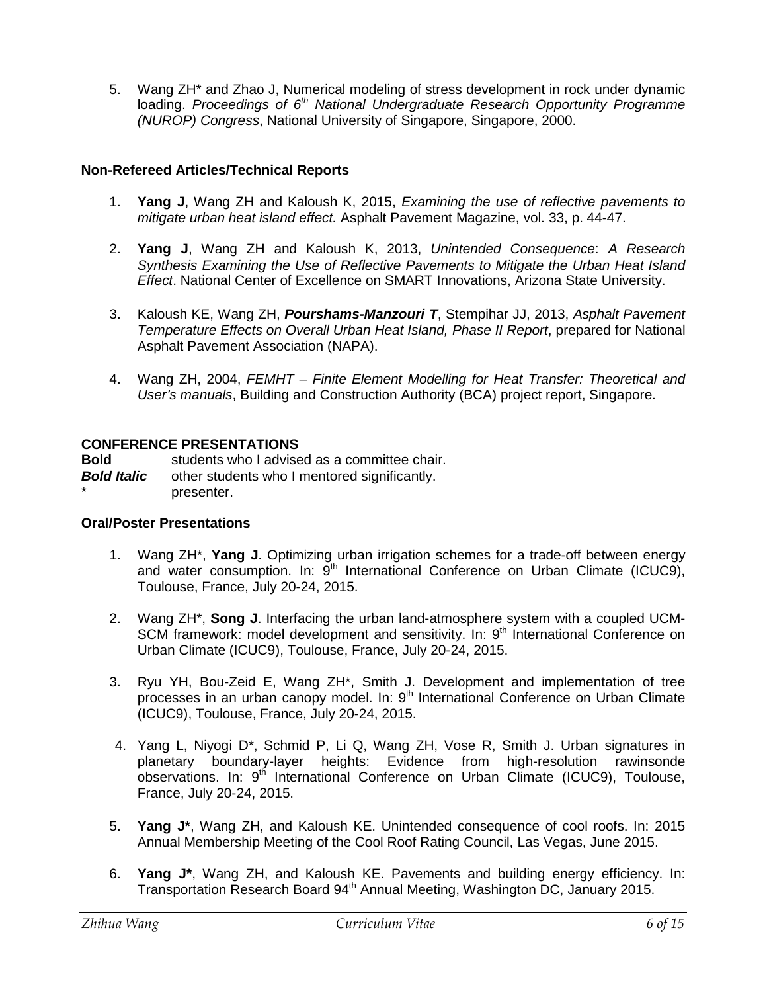5. Wang ZH\* and Zhao J, Numerical modeling of stress development in rock under dynamic loading. *Proceedings of 6th National Undergraduate Research Opportunity Programme (NUROP) Congress*, National University of Singapore, Singapore, 2000.

# **Non-Refereed Articles/Technical Reports**

- 1. **Yang J**, Wang ZH and Kaloush K, 2015, *Examining the use of reflective pavements to mitigate urban heat island effect.* Asphalt Pavement Magazine, vol. 33, p. 44-47.
- 2. **Yang J**, Wang ZH and Kaloush K, 2013, *Unintended Consequence*: *A Research Synthesis Examining the Use of Reflective Pavements to Mitigate the Urban Heat Island Effect*. National Center of Excellence on SMART Innovations, Arizona State University.
- 3. Kaloush KE, Wang ZH, *Pourshams-Manzouri T*, Stempihar JJ, 2013, *Asphalt Pavement Temperature Effects on Overall Urban Heat Island, Phase II Report*, prepared for National Asphalt Pavement Association (NAPA).
- 4. Wang ZH, 2004, *FEMHT – Finite Element Modelling for Heat Transfer: Theoretical and User's manuals*, Building and Construction Authority (BCA) project report, Singapore.

# **CONFERENCE PRESENTATIONS**

**Bold** students who I advised as a committee chair. **Bold Italic** other students who I mentored significantly. presenter.

# **Oral/Poster Presentations**

- 1. Wang ZH\*, **Yang J**. Optimizing urban irrigation schemes for a trade-off between energy and water consumption. In:  $9<sup>th</sup>$  International Conference on Urban Climate (ICUC9), Toulouse, France, July 20-24, 2015.
- 2. Wang ZH\*, **Song J**. Interfacing the urban land-atmosphere system with a coupled UCM-SCM framework: model development and sensitivity. In: 9<sup>th</sup> International Conference on Urban Climate (ICUC9), Toulouse, France, July 20-24, 2015.
- 3. Ryu YH, Bou-Zeid E, Wang ZH\*, Smith J. Development and implementation of tree processes in an urban canopy model. In: 9th International Conference on Urban Climate (ICUC9), Toulouse, France, July 20-24, 2015.
- 4. Yang L, Niyogi D\*, Schmid P, Li Q, Wang ZH, Vose R, Smith J. Urban signatures in planetary boundary-layer heights: Evidence from high-resolution rawinsonde observations. In: 9<sup>th</sup> International Conference on Urban Climate (ICUC9), Toulouse, France, July 20-24, 2015.
- 5. **Yang J\***, Wang ZH, and Kaloush KE. Unintended consequence of cool roofs. In: 2015 Annual Membership Meeting of the Cool Roof Rating Council, Las Vegas, June 2015.
- 6. **Yang J\***, Wang ZH, and Kaloush KE. Pavements and building energy efficiency. In: Transportation Research Board 94<sup>th</sup> Annual Meeting, Washington DC, January 2015.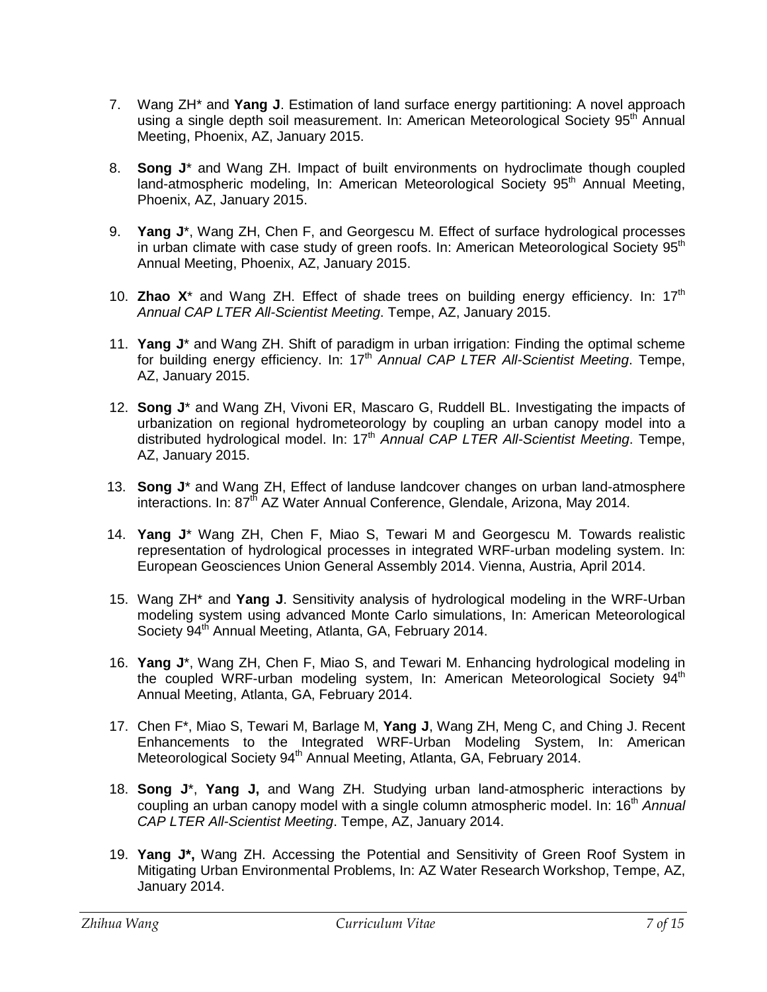- 7. Wang ZH\* and **Yang J**. Estimation of land surface energy partitioning: A novel approach using a single depth soil measurement. In: American Meteorological Society 95<sup>th</sup> Annual Meeting, Phoenix, AZ, January 2015.
- 8. **Song J**\* and Wang ZH. Impact of built environments on hydroclimate though coupled land-atmospheric modeling, In: American Meteorological Society 95<sup>th</sup> Annual Meeting, Phoenix, AZ, January 2015.
- 9. **Yang J**\*, Wang ZH, Chen F, and Georgescu M. Effect of surface hydrological processes in urban climate with case study of green roofs. In: American Meteorological Society  $95<sup>th</sup>$ Annual Meeting, Phoenix, AZ, January 2015.
- 10. **Zhao X**\* and Wang ZH. Effect of shade trees on building energy efficiency. In: 17<sup>th</sup> *Annual CAP LTER All-Scientist Meeting*. Tempe, AZ, January 2015.
- 11. **Yang J**\* and Wang ZH. Shift of paradigm in urban irrigation: Finding the optimal scheme for building energy efficiency. In: 17<sup>th</sup> *Annual CAP LTER All-Scientist Meeting*. Tempe, AZ, January 2015.
- 12. **Song J**\* and Wang ZH, Vivoni ER, Mascaro G, Ruddell BL. Investigating the impacts of urbanization on regional hydrometeorology by coupling an urban canopy model into a distributed hydrological model. In: 17<sup>th</sup> Annual CAP LTER All-Scientist Meeting. Tempe, AZ, January 2015.
- 13. **Song J**\* and Wang ZH, Effect of landuse landcover changes on urban land-atmosphere interactions. In: 87<sup>th</sup> AZ Water Annual Conference, Glendale, Arizona, Mav 2014.
- 14. **Yang J**\* Wang ZH, Chen F, Miao S, Tewari M and Georgescu M. Towards realistic representation of hydrological processes in integrated WRF-urban modeling system. In: European Geosciences Union General Assembly 2014. Vienna, Austria, April 2014.
- 15. Wang ZH\* and **Yang J**. Sensitivity analysis of hydrological modeling in the WRF-Urban modeling system using advanced Monte Carlo simulations, In: American Meteorological Society 94<sup>th</sup> Annual Meeting, Atlanta, GA, February 2014.
- 16. **Yang J**\*, Wang ZH, Chen F, Miao S, and Tewari M. Enhancing hydrological modeling in the coupled WRF-urban modeling system, In: American Meteorological Society  $94<sup>th</sup>$ Annual Meeting, Atlanta, GA, February 2014.
- 17. Chen F\*, Miao S, Tewari M, Barlage M, **Yang J**, Wang ZH, Meng C, and Ching J. Recent Enhancements to the Integrated WRF-Urban Modeling System, In: American Meteorological Society 94<sup>th</sup> Annual Meeting, Atlanta, GA, February 2014.
- 18. **Song J**\*, **Yang J,** and Wang ZH. Studying urban land-atmospheric interactions by coupling an urban canopy model with a single column atmospheric model. In: 16<sup>th</sup> Annual *CAP LTER All-Scientist Meeting*. Tempe, AZ, January 2014.
- 19. **Yang J\*,** Wang ZH. Accessing the Potential and Sensitivity of Green Roof System in Mitigating Urban Environmental Problems, In: AZ Water Research Workshop, Tempe, AZ, January 2014.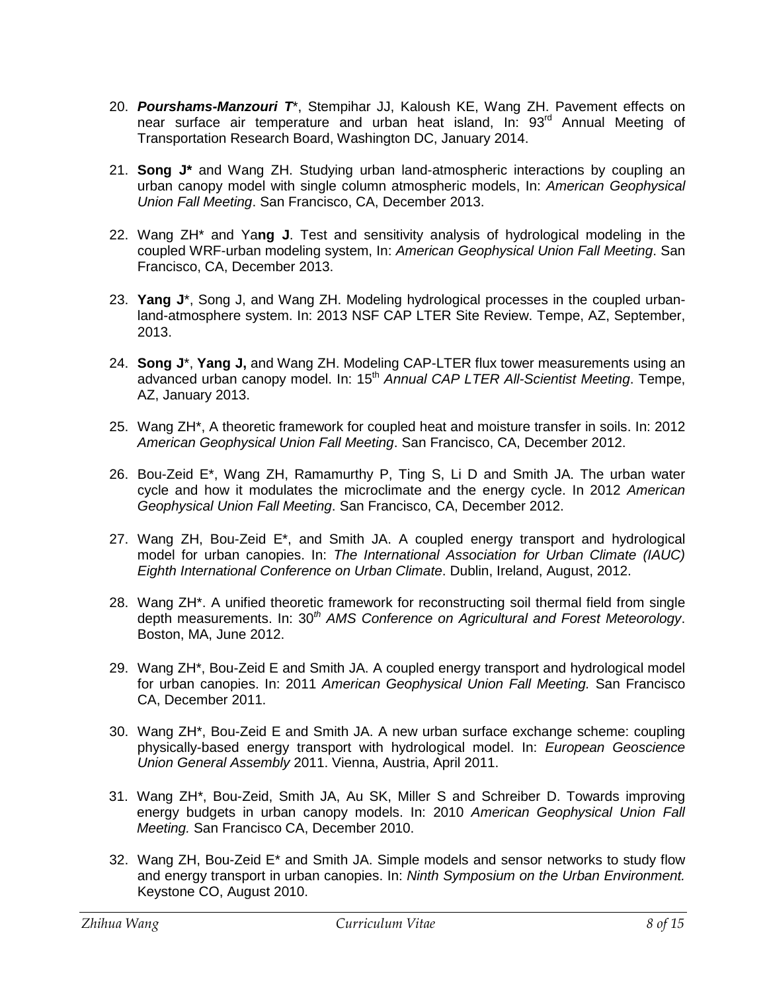- 20. *Pourshams-Manzouri T*\*, Stempihar JJ, Kaloush KE, Wang ZH. Pavement effects on near surface air temperature and urban heat island, In: 93<sup>rd</sup> Annual Meeting of Transportation Research Board, Washington DC, January 2014.
- 21. **Song J\*** and Wang ZH. Studying urban land-atmospheric interactions by coupling an urban canopy model with single column atmospheric models, In: *American Geophysical Union Fall Meeting*. San Francisco, CA, December 2013.
- 22. Wang ZH\* and Ya**ng J**. Test and sensitivity analysis of hydrological modeling in the coupled WRF-urban modeling system, In: *American Geophysical Union Fall Meeting*. San Francisco, CA, December 2013.
- 23. **Yang J**\*, Song J, and Wang ZH. Modeling hydrological processes in the coupled urbanland-atmosphere system. In: 2013 NSF CAP LTER Site Review. Tempe, AZ, September, 2013.
- 24. **Song J**\*, **Yang J,** and Wang ZH. Modeling CAP-LTER flux tower measurements using an advanced urban canopy model. In: 15<sup>th</sup> Annual CAP LTER All-Scientist Meeting. Tempe, AZ, January 2013.
- 25. Wang ZH\*, A theoretic framework for coupled heat and moisture transfer in soils. In: 2012 *American Geophysical Union Fall Meeting*. San Francisco, CA, December 2012.
- 26. Bou-Zeid E\*, Wang ZH, Ramamurthy P, Ting S, Li D and Smith JA. The urban water cycle and how it modulates the microclimate and the energy cycle. In 2012 *American Geophysical Union Fall Meeting*. San Francisco, CA, December 2012.
- 27. Wang ZH, Bou-Zeid E\*, and Smith JA. A coupled energy transport and hydrological model for urban canopies. In: *The International Association for Urban Climate (IAUC) Eighth International Conference on Urban Climate*. Dublin, Ireland, August, 2012.
- 28. Wang ZH\*. A unified theoretic framework for reconstructing soil thermal field from single depth measurements. In: 30*th AMS Conference on Agricultural and Forest Meteorology*. Boston, MA, June 2012.
- 29. Wang ZH\*, Bou-Zeid E and Smith JA. A coupled energy transport and hydrological model for urban canopies. In: 2011 *American Geophysical Union Fall Meeting.* San Francisco CA, December 2011.
- 30. Wang ZH\*, Bou-Zeid E and Smith JA. A new urban surface exchange scheme: coupling physically-based energy transport with hydrological model. In: *European Geoscience Union General Assembly* 2011. Vienna, Austria, April 2011.
- 31. Wang ZH\*, Bou-Zeid, Smith JA, Au SK, Miller S and Schreiber D. Towards improving energy budgets in urban canopy models. In: 2010 *American Geophysical Union Fall Meeting.* San Francisco CA, December 2010.
- 32. Wang ZH, Bou-Zeid E\* and Smith JA. Simple models and sensor networks to study flow and energy transport in urban canopies. In: *Ninth Symposium on the Urban Environment.* Keystone CO, August 2010.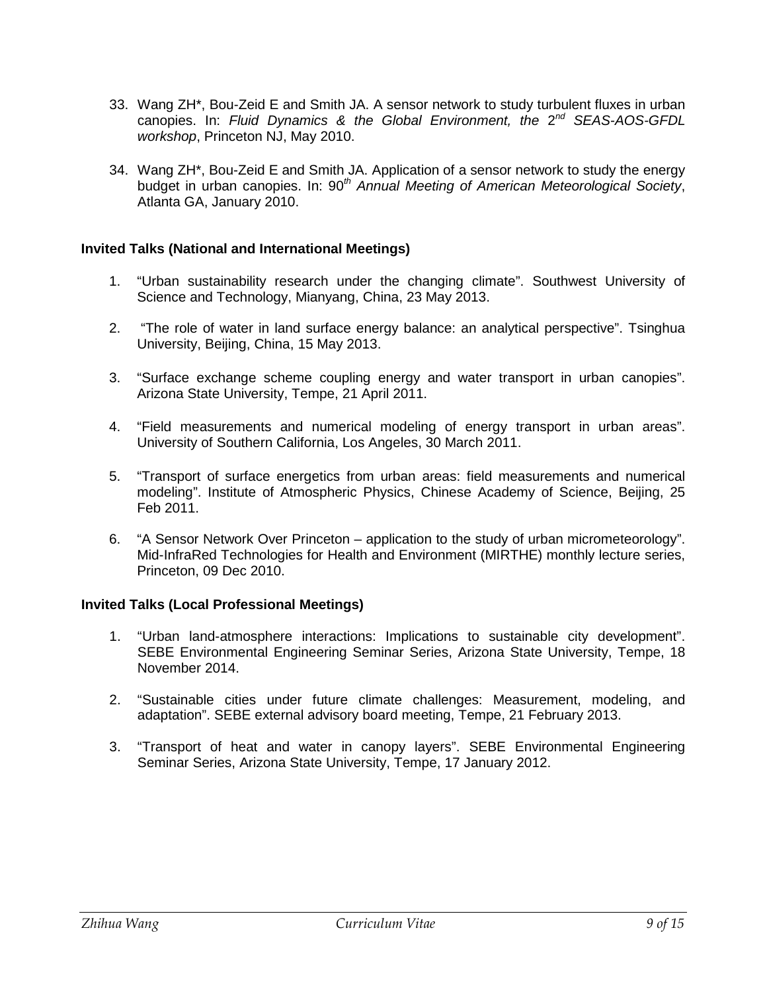- 33. Wang ZH\*, Bou-Zeid E and Smith JA. A sensor network to study turbulent fluxes in urban canopies. In: *Fluid Dynamics & the Global Environment, the* 2*nd SEAS-AOS-GFDL workshop*, Princeton NJ, May 2010.
- 34. Wang ZH\*, Bou-Zeid E and Smith JA. Application of a sensor network to study the energy budget in urban canopies. In: 90*th Annual Meeting of American Meteorological Society*, Atlanta GA, January 2010.

# **Invited Talks (National and International Meetings)**

- 1. "Urban sustainability research under the changing climate". Southwest University of Science and Technology, Mianyang, China, 23 May 2013.
- 2. "The role of water in land surface energy balance: an analytical perspective". Tsinghua University, Beijing, China, 15 May 2013.
- 3. "Surface exchange scheme coupling energy and water transport in urban canopies". Arizona State University, Tempe, 21 April 2011.
- 4. "Field measurements and numerical modeling of energy transport in urban areas". University of Southern California, Los Angeles, 30 March 2011.
- 5. "Transport of surface energetics from urban areas: field measurements and numerical modeling". Institute of Atmospheric Physics, Chinese Academy of Science, Beijing, 25 Feb 2011.
- 6. "A Sensor Network Over Princeton application to the study of urban micrometeorology". Mid-InfraRed Technologies for Health and Environment (MIRTHE) monthly lecture series, Princeton, 09 Dec 2010.

# **Invited Talks (Local Professional Meetings)**

- 1. "Urban land-atmosphere interactions: Implications to sustainable city development". SEBE Environmental Engineering Seminar Series, Arizona State University, Tempe, 18 November 2014.
- 2. "Sustainable cities under future climate challenges: Measurement, modeling, and adaptation". SEBE external advisory board meeting, Tempe, 21 February 2013.
- 3. "Transport of heat and water in canopy layers". SEBE Environmental Engineering Seminar Series, Arizona State University, Tempe, 17 January 2012.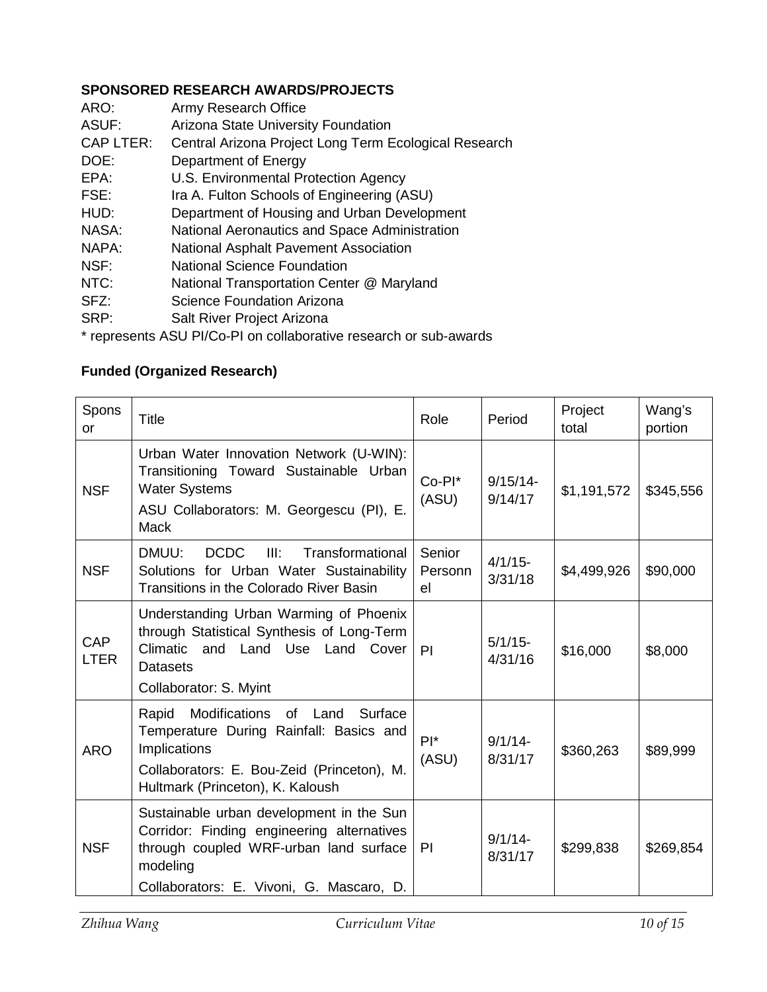# **SPONSORED RESEARCH AWARDS/PROJECTS**

| ARO:             | Army Research Office                                  |
|------------------|-------------------------------------------------------|
| ASUF:            | Arizona State University Foundation                   |
| <b>CAP LTER:</b> | Central Arizona Project Long Term Ecological Research |
| DOE:             | Department of Energy                                  |
| EPA:             | U.S. Environmental Protection Agency                  |
| FSE:             | Ira A. Fulton Schools of Engineering (ASU)            |
| HUD:             | Department of Housing and Urban Development           |
| NASA:            | National Aeronautics and Space Administration         |
| NAPA:            | National Asphalt Pavement Association                 |
| NSF:             | <b>National Science Foundation</b>                    |
| NTC:             | National Transportation Center @ Maryland             |
| 0F7.             | Coionna Foundation Arizona                            |

- SFZ: Science Foundation Arizona
- SRP: Salt River Project Arizona

\* represents ASU PI/Co-PI on collaborative research or sub-awards

# **Funded (Organized Research)**

| Spons<br>or               | Title                                                                                                                                                                                        | Role                    | Period                 | Project<br>total | Wang's<br>portion |
|---------------------------|----------------------------------------------------------------------------------------------------------------------------------------------------------------------------------------------|-------------------------|------------------------|------------------|-------------------|
| <b>NSF</b>                | Urban Water Innovation Network (U-WIN):<br>Transitioning Toward Sustainable Urban<br><b>Water Systems</b><br>ASU Collaborators: M. Georgescu (PI), E.<br><b>Mack</b>                         | $Co-PI^*$<br>(ASU)      | $9/15/14$ -<br>9/14/17 | \$1,191,572      | \$345,556         |
| <b>NSF</b>                | <b>DCDC</b><br>III:<br>Transformational<br>DMUU:<br>Solutions for Urban Water Sustainability<br><b>Transitions in the Colorado River Basin</b>                                               | Senior<br>Personn<br>el | $4/1/15$ -<br>3/31/18  | \$4,499,926      | \$90,000          |
| <b>CAP</b><br><b>LTER</b> | Understanding Urban Warming of Phoenix<br>through Statistical Synthesis of Long-Term<br>Climatic and Land Use Land Cover<br>Datasets<br>Collaborator: S. Myint                               | PI                      | $5/1/15$ -<br>4/31/16  | \$16,000         | \$8,000           |
| <b>ARO</b>                | Modifications<br>Surface<br>Rapid<br>of<br>Land<br>Temperature During Rainfall: Basics and<br>Implications<br>Collaborators: E. Bou-Zeid (Princeton), M.<br>Hultmark (Princeton), K. Kaloush | $PI^*$<br>(ASU)         | $9/1/14$ -<br>8/31/17  | \$360,263        | \$89,999          |
| <b>NSF</b>                | Sustainable urban development in the Sun<br>Corridor: Finding engineering alternatives<br>through coupled WRF-urban land surface<br>modeling<br>Collaborators: E. Vivoni, G. Mascaro, D.     | PI                      | $9/1/14 -$<br>8/31/17  | \$299,838        | \$269,854         |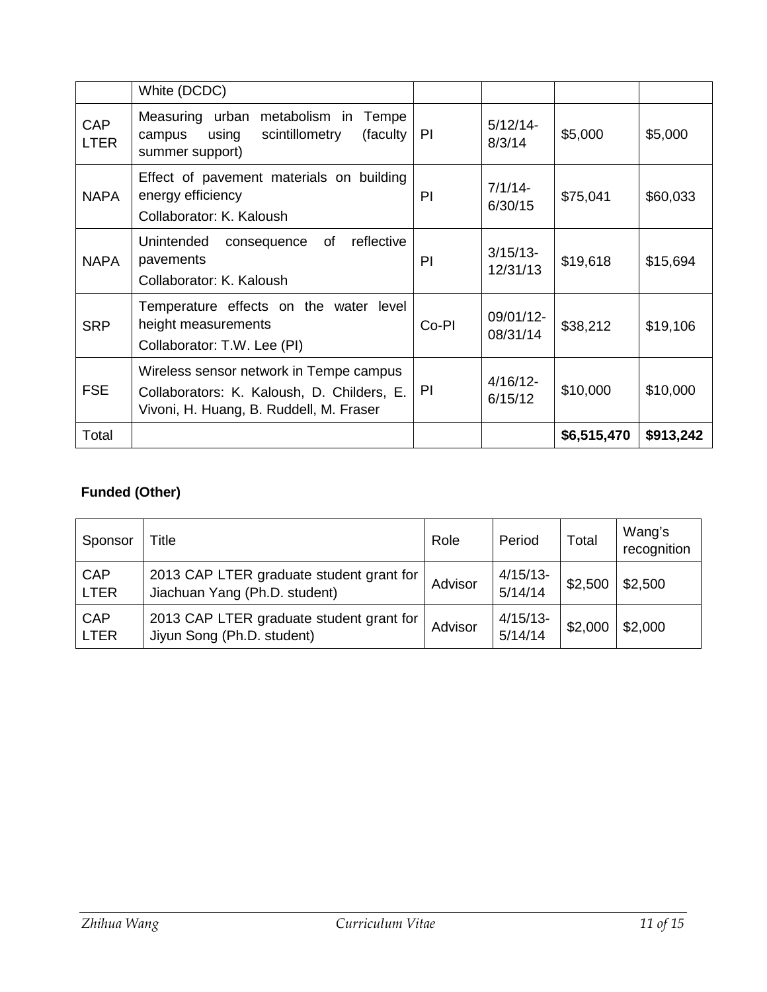|                           | White (DCDC)                                                                                                                     |       |                         |             |           |
|---------------------------|----------------------------------------------------------------------------------------------------------------------------------|-------|-------------------------|-------------|-----------|
| <b>CAP</b><br><b>LTER</b> | Measuring urban<br>metabolism in<br>Tempe<br>using<br>scintillometry<br>(faculty)<br>campus<br>summer support)                   | PI.   | $5/12/14-$<br>8/3/14    | \$5,000     | \$5,000   |
| <b>NAPA</b>               | Effect of pavement materials on building<br>energy efficiency<br>Collaborator: K. Kaloush                                        | PI    | $7/1/14-$<br>6/30/15    | \$75,041    | \$60,033  |
| <b>NAPA</b>               | reflective<br>Unintended<br>of<br>consequence<br>pavements<br>Collaborator: K. Kaloush                                           | PI    | $3/15/13$ -<br>12/31/13 | \$19,618    | \$15,694  |
| <b>SRP</b>                | Temperature effects on the water<br>level<br>height measurements<br>Collaborator: T.W. Lee (PI)                                  | Co-PI | 09/01/12-<br>08/31/14   | \$38,212    | \$19,106  |
| <b>FSE</b>                | Wireless sensor network in Tempe campus<br>Collaborators: K. Kaloush, D. Childers, E.<br>Vivoni, H. Huang, B. Ruddell, M. Fraser | PI.   | $4/16/12$ -<br>6/15/12  | \$10,000    | \$10,000  |
| Total                     |                                                                                                                                  |       |                         | \$6,515,470 | \$913,242 |

# **Funded (Other)**

| Sponsor                   | Title                                                                     | Role    | Period                 | Total   | Wang's<br>recognition |
|---------------------------|---------------------------------------------------------------------------|---------|------------------------|---------|-----------------------|
| <b>CAP</b><br><b>LTER</b> | 2013 CAP LTER graduate student grant for<br>Jiachuan Yang (Ph.D. student) | Advisor | $4/15/13$ -<br>5/14/14 | \$2,500 | \$2,500               |
| <b>CAP</b><br><b>LTER</b> | 2013 CAP LTER graduate student grant for<br>Jiyun Song (Ph.D. student)    | Advisor | $4/15/13$ -<br>5/14/14 | \$2,000 | \$2,000               |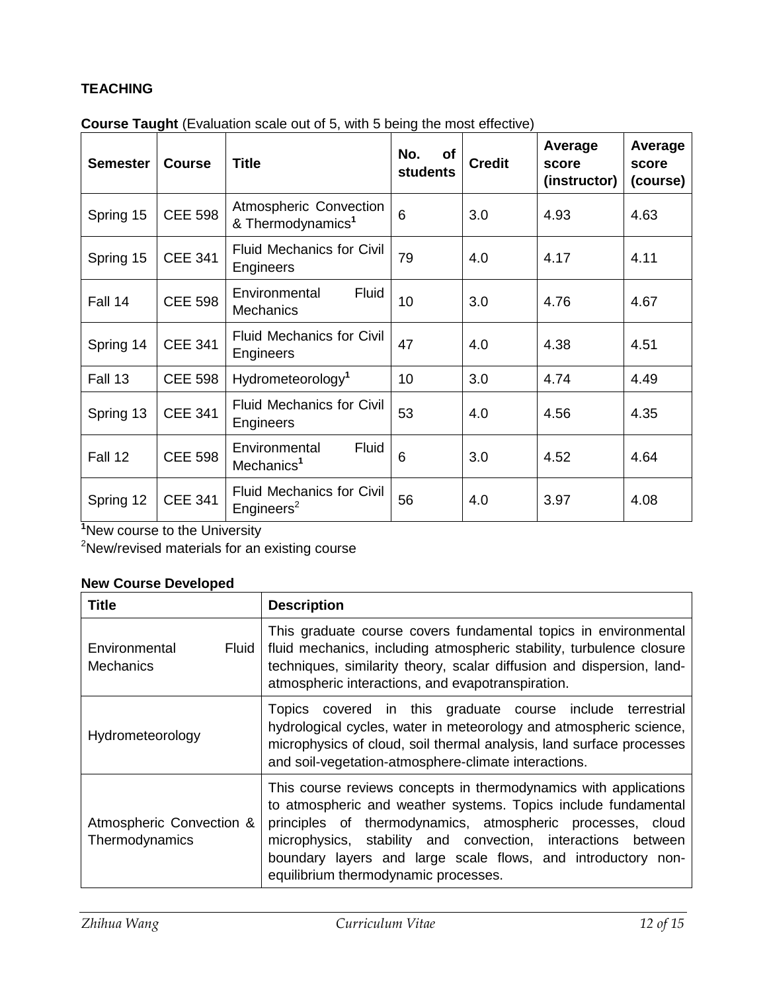# **TEACHING**

| <b>Semester</b> | <b>Course</b>  | <b>Title</b>                                               | No.<br>of<br><b>students</b> | <b>Credit</b> | Average<br>score<br>(instructor) | Average<br>score<br>(course) |
|-----------------|----------------|------------------------------------------------------------|------------------------------|---------------|----------------------------------|------------------------------|
| Spring 15       | <b>CEE 598</b> | Atmospheric Convection<br>& Thermodynamics <sup>1</sup>    | 6                            | 3.0           | 4.93                             | 4.63                         |
| Spring 15       | <b>CEE 341</b> | <b>Fluid Mechanics for Civil</b><br>Engineers              | 79                           | 4.0           | 4.17                             | 4.11                         |
| Fall 14         | <b>CEE 598</b> | Fluid<br>Environmental<br><b>Mechanics</b>                 | 10                           | 3.0           | 4.76                             | 4.67                         |
| Spring 14       | <b>CEE 341</b> | <b>Fluid Mechanics for Civil</b><br>Engineers              | 47                           | 4.0           | 4.38                             | 4.51                         |
| Fall 13         | <b>CEE 598</b> | Hydrometeorology <sup>1</sup>                              | 10                           | 3.0           | 4.74                             | 4.49                         |
| Spring 13       | <b>CEE 341</b> | <b>Fluid Mechanics for Civil</b><br>Engineers              | 53                           | 4.0           | 4.56                             | 4.35                         |
| Fall 12         | <b>CEE 598</b> | Fluid<br>Environmental<br>Mechanics <sup>1</sup>           | 6                            | 3.0           | 4.52                             | 4.64                         |
| Spring 12       | <b>CEE 341</b> | <b>Fluid Mechanics for Civil</b><br>Engineers <sup>2</sup> | 56                           | 4.0           | 3.97                             | 4.08                         |

**Course Taught** (Evaluation scale out of 5, with 5 being the most effective)

**1** New course to the University

<sup>2</sup>New/revised materials for an existing course

# **New Course Developed**

| Title                                             | <b>Description</b>                                                                                                                                                                                                                                                                                                                                                       |
|---------------------------------------------------|--------------------------------------------------------------------------------------------------------------------------------------------------------------------------------------------------------------------------------------------------------------------------------------------------------------------------------------------------------------------------|
| <b>Fluid</b><br>Environmental<br><b>Mechanics</b> | This graduate course covers fundamental topics in environmental<br>fluid mechanics, including atmospheric stability, turbulence closure<br>techniques, similarity theory, scalar diffusion and dispersion, land-<br>atmospheric interactions, and evapotranspiration.                                                                                                    |
| Hydrometeorology                                  | Topics covered in this graduate course include<br>terrestrial<br>hydrological cycles, water in meteorology and atmospheric science,<br>microphysics of cloud, soil thermal analysis, land surface processes<br>and soil-vegetation-atmosphere-climate interactions.                                                                                                      |
| Atmospheric Convection &<br>Thermodynamics        | This course reviews concepts in thermodynamics with applications<br>to atmospheric and weather systems. Topics include fundamental<br>principles of thermodynamics, atmospheric processes, cloud<br>microphysics, stability and convection, interactions between<br>boundary layers and large scale flows, and introductory non-<br>equilibrium thermodynamic processes. |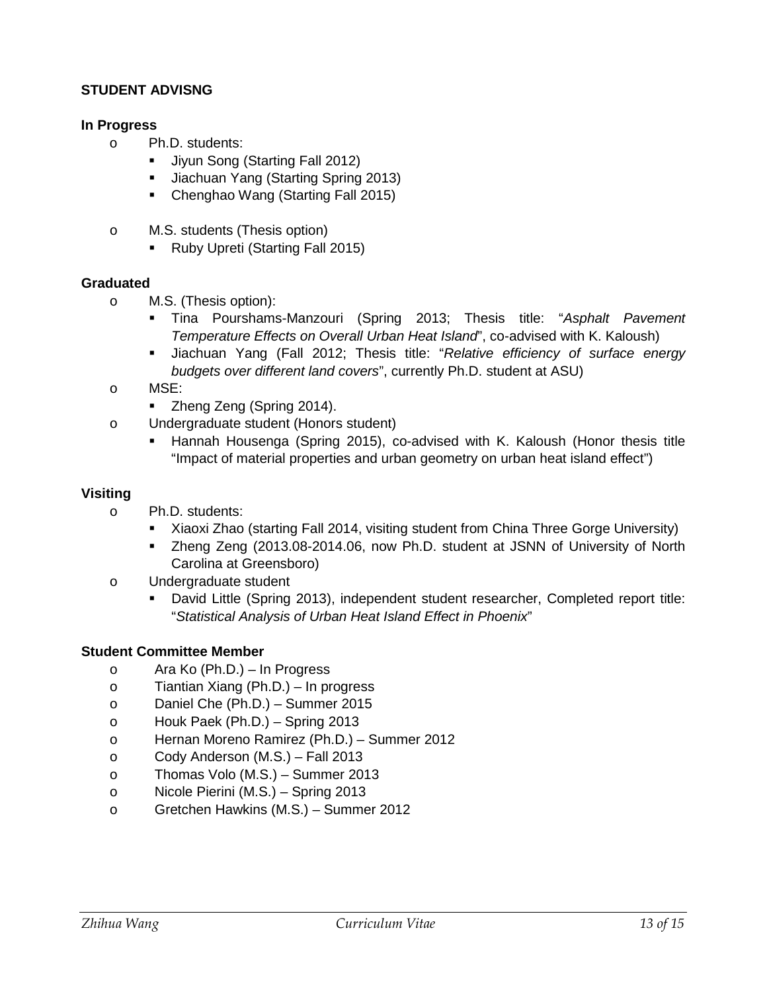# **STUDENT ADVISNG**

# **In Progress**

- o Ph.D. students:
	- Jiyun Song (Starting Fall 2012)
	- Jiachuan Yang (Starting Spring 2013)
	- Chenghao Wang (Starting Fall 2015)
- o M.S. students (Thesis option)
	- Ruby Upreti (Starting Fall 2015)

# **Graduated**

- o M.S. (Thesis option):
	- Tina Pourshams-Manzouri (Spring 2013; Thesis title: "*Asphalt Pavement Temperature Effects on Overall Urban Heat Island*", co-advised with K. Kaloush)
	- Jiachuan Yang (Fall 2012; Thesis title: "*Relative efficiency of surface energy budgets over different land covers*", currently Ph.D. student at ASU)
- o MSE:
	- **EXEQUE 2014** Zheng Zeng (Spring 2014).
- o Undergraduate student (Honors student)
	- Hannah Housenga (Spring 2015), co-advised with K. Kaloush (Honor thesis title "Impact of material properties and urban geometry on urban heat island effect")

# **Visiting**

- o Ph.D. students:
	- Xiaoxi Zhao (starting Fall 2014, visiting student from China Three Gorge University)
	- Zheng Zeng (2013.08-2014.06, now Ph.D. student at JSNN of University of North Carolina at Greensboro)
- o Undergraduate student
	- David Little (Spring 2013), independent student researcher, Completed report title: "*Statistical Analysis of Urban Heat Island Effect in Phoenix*"

# **Student Committee Member**

- o Ara Ko (Ph.D.) In Progress
- o Tiantian Xiang (Ph.D.) In progress
- o Daniel Che (Ph.D.) Summer 2015
- o Houk Paek (Ph.D.) Spring 2013
- o Hernan Moreno Ramirez (Ph.D.) Summer 2012
- o Cody Anderson (M.S.) Fall 2013
- o Thomas Volo (M.S.) Summer 2013
- o Nicole Pierini (M.S.) Spring 2013
- o Gretchen Hawkins (M.S.) Summer 2012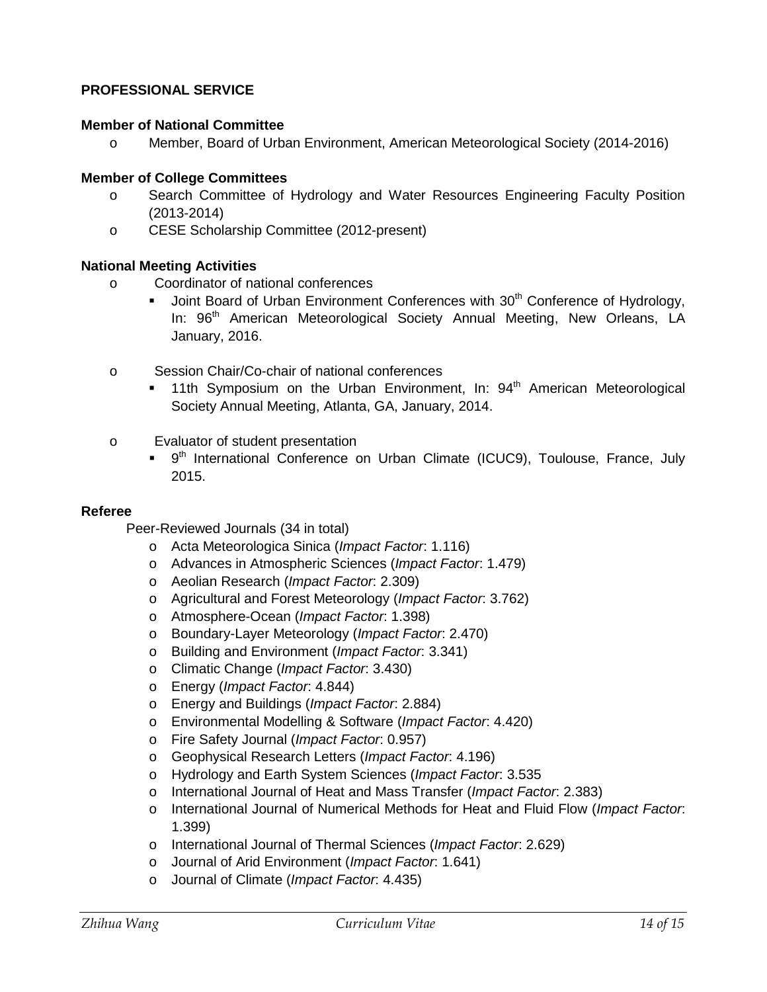# **PROFESSIONAL SERVICE**

### **Member of National Committee**

o Member, Board of Urban Environment, American Meteorological Society (2014-2016)

### **Member of College Committees**

- o Search Committee of Hydrology and Water Resources Engineering Faculty Position (2013-2014)
- o CESE Scholarship Committee (2012-present)

### **National Meeting Activities**

- o Coordinator of national conferences
	- Joint Board of Urban Environment Conferences with 30<sup>th</sup> Conference of Hydrology, In: 96<sup>th</sup> American Meteorological Society Annual Meeting, New Orleans, LA January, 2016.
- o Session Chair/Co-chair of national conferences
	- 11th Symposium on the Urban Environment, In:  $94<sup>th</sup>$  American Meteorological Society Annual Meeting, Atlanta, GA, January, 2014.
- o Evaluator of student presentation
	- 9<sup>th</sup> International Conference on Urban Climate (ICUC9), Toulouse, France, July 2015.

#### **Referee**

Peer-Reviewed Journals (34 in total)

- o Acta Meteorologica Sinica (*Impact Factor*: 1.116)
- o Advances in Atmospheric Sciences (*Impact Factor*: 1.479)
- o Aeolian Research (*Impact Factor*: 2.309)
- o Agricultural and Forest Meteorology (*Impact Factor*: 3.762)
- o Atmosphere-Ocean (*Impact Factor*: 1.398)
- o Boundary-Layer Meteorology (*Impact Factor*: 2.470)
- o Building and Environment (*Impact Factor*: 3.341)
- o Climatic Change (*Impact Factor*: 3.430)
- o Energy (*Impact Factor*: 4.844)
- o Energy and Buildings (*Impact Factor*: 2.884)
- o Environmental Modelling & Software (*Impact Factor*: 4.420)
- o Fire Safety Journal (*Impact Factor*: 0.957)
- o Geophysical Research Letters (*Impact Factor*: 4.196)
- o Hydrology and Earth System Sciences (*Impact Factor*: 3.535
- o International Journal of Heat and Mass Transfer (*Impact Factor*: 2.383)
- o International Journal of Numerical Methods for Heat and Fluid Flow (*Impact Factor*: 1.399)
- o International Journal of Thermal Sciences (*Impact Factor*: 2.629)
- o Journal of Arid Environment (*Impact Factor*: 1.641)
- o Journal of Climate (*Impact Factor*: 4.435)